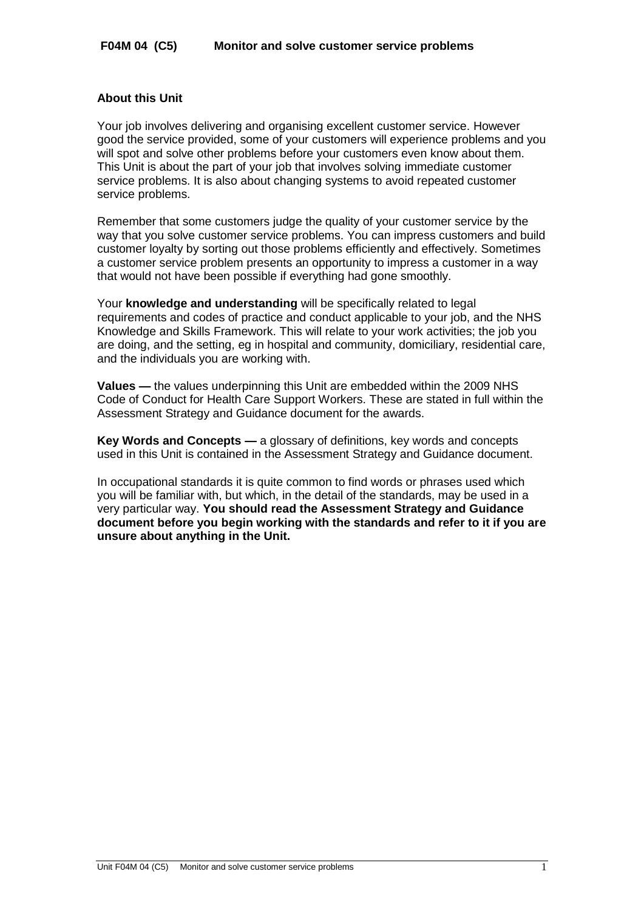### **About this Unit**

Your job involves delivering and organising excellent customer service. However good the service provided, some of your customers will experience problems and you will spot and solve other problems before your customers even know about them. This Unit is about the part of your job that involves solving immediate customer service problems. It is also about changing systems to avoid repeated customer service problems.

Remember that some customers judge the quality of your customer service by the way that you solve customer service problems. You can impress customers and build customer loyalty by sorting out those problems efficiently and effectively. Sometimes a customer service problem presents an opportunity to impress a customer in a way that would not have been possible if everything had gone smoothly.

Your **knowledge and understanding** will be specifically related to legal requirements and codes of practice and conduct applicable to your job, and the NHS Knowledge and Skills Framework. This will relate to your work activities; the job you are doing, and the setting, eg in hospital and community, domiciliary, residential care, and the individuals you are working with.

**Values —** the values underpinning this Unit are embedded within the 2009 NHS Code of Conduct for Health Care Support Workers. These are stated in full within the Assessment Strategy and Guidance document for the awards.

**Key Words and Concepts —** a glossary of definitions, key words and concepts used in this Unit is contained in the Assessment Strategy and Guidance document.

In occupational standards it is quite common to find words or phrases used which you will be familiar with, but which, in the detail of the standards, may be used in a very particular way. **You should read the Assessment Strategy and Guidance document before you begin working with the standards and refer to it if you are unsure about anything in the Unit.**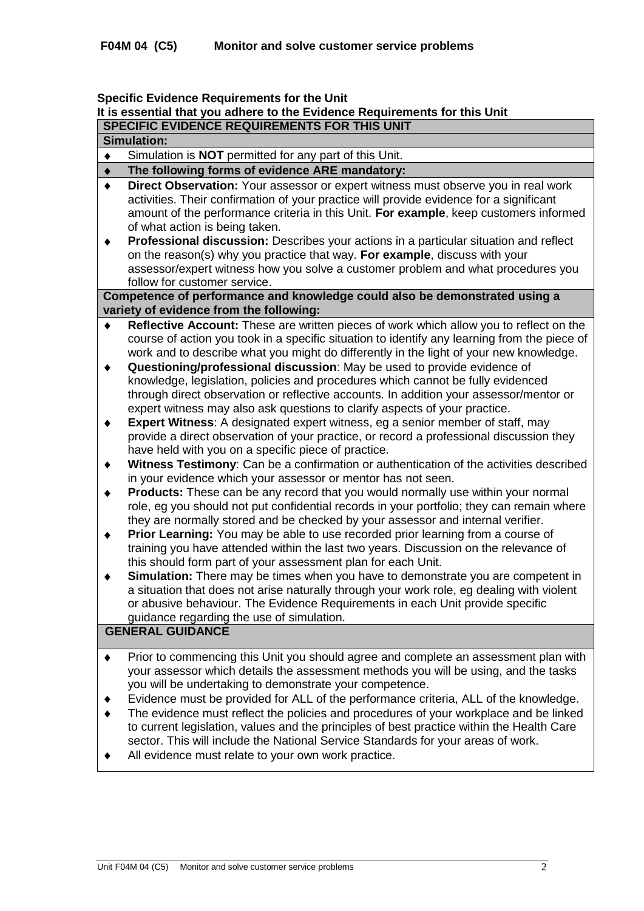#### **Specific Evidence Requirements for the Unit**

# **It is essential that you adhere to the Evidence Requirements for this Unit**

**SPECIFIC EVIDENCE REQUIREMENTS FOR THIS UNIT Simulation:**

|   | umaanum.                                                                                                                                                                                                                                                                                                |
|---|---------------------------------------------------------------------------------------------------------------------------------------------------------------------------------------------------------------------------------------------------------------------------------------------------------|
| ٠ | Simulation is <b>NOT</b> permitted for any part of this Unit.                                                                                                                                                                                                                                           |
| ٠ | The following forms of evidence ARE mandatory:                                                                                                                                                                                                                                                          |
| ٠ | Direct Observation: Your assessor or expert witness must observe you in real work<br>activities. Their confirmation of your practice will provide evidence for a significant<br>amount of the performance criteria in this Unit. For example, keep customers informed<br>of what action is being taken. |
| ٠ | <b>Professional discussion:</b> Describes your actions in a particular situation and reflect                                                                                                                                                                                                            |

on the reason(s) why you practice that way. **For example**, discuss with your assessor/expert witness how you solve a customer problem and what procedures you follow for customer service.

### **Competence of performance and knowledge could also be demonstrated using a variety of evidence from the following:**

- **Reflective Account:** These are written pieces of work which allow you to reflect on the course of action you took in a specific situation to identify any learning from the piece of work and to describe what you might do differently in the light of your new knowledge.
- **Questioning/professional discussion**: May be used to provide evidence of  $\blacklozenge$ knowledge, legislation, policies and procedures which cannot be fully evidenced through direct observation or reflective accounts. In addition your assessor/mentor or expert witness may also ask questions to clarify aspects of your practice.
- **Expert Witness**: A designated expert witness, eg a senior member of staff, may  $\blacklozenge$ provide a direct observation of your practice, or record a professional discussion they have held with you on a specific piece of practice.
- **Witness Testimony**: Can be a confirmation or authentication of the activities described  $\blacklozenge$ in your evidence which your assessor or mentor has not seen.
- **Products:** These can be any record that you would normally use within your normal  $\bullet$ role, eg you should not put confidential records in your portfolio; they can remain where they are normally stored and be checked by your assessor and internal verifier.
- **Prior Learning:** You may be able to use recorded prior learning from a course of  $\bullet$ training you have attended within the last two years. Discussion on the relevance of this should form part of your assessment plan for each Unit.
- **Simulation:** There may be times when you have to demonstrate you are competent in  $\ddot{\bullet}$ a situation that does not arise naturally through your work role, eg dealing with violent or abusive behaviour. The Evidence Requirements in each Unit provide specific guidance regarding the use of simulation.

### **GENERAL GUIDANCE**

- Prior to commencing this Unit you should agree and complete an assessment plan with  $\bullet$ your assessor which details the assessment methods you will be using, and the tasks you will be undertaking to demonstrate your competence.
- $\blacktriangle$ Evidence must be provided for ALL of the performance criteria, ALL of the knowledge.
- The evidence must reflect the policies and procedures of your workplace and be linked to current legislation, values and the principles of best practice within the Health Care sector. This will include the National Service Standards for your areas of work.
- All evidence must relate to your own work practice.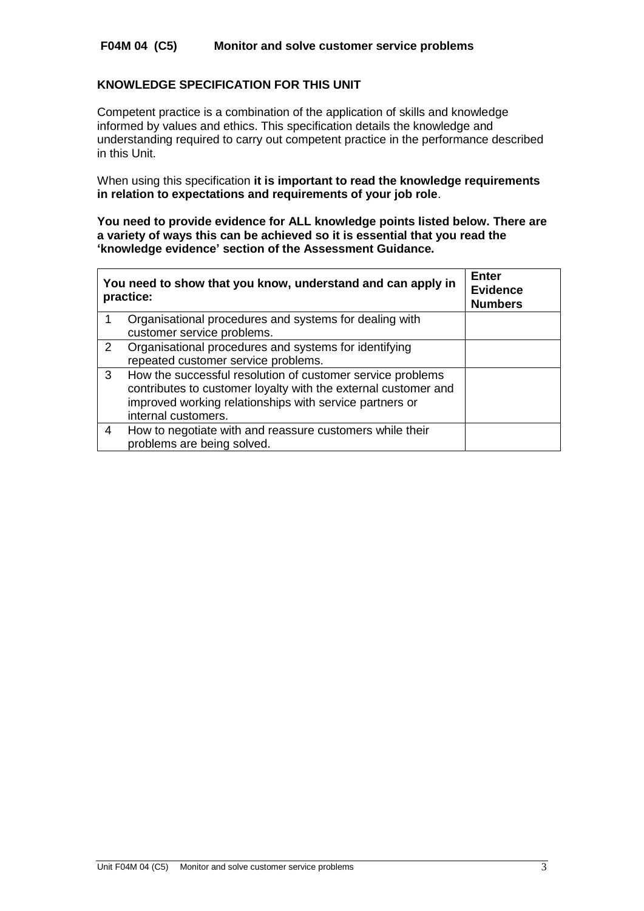## **F04M 04 (C5) Monitor and solve customer service problems**

### **KNOWLEDGE SPECIFICATION FOR THIS UNIT**

Competent practice is a combination of the application of skills and knowledge informed by values and ethics. This specification details the knowledge and understanding required to carry out competent practice in the performance described in this Unit.

When using this specification **it is important to read the knowledge requirements in relation to expectations and requirements of your job role**.

**You need to provide evidence for ALL knowledge points listed below. There are a variety of ways this can be achieved so it is essential that you read the 'knowledge evidence' section of the Assessment Guidance.**

| You need to show that you know, understand and can apply in<br>practice: |                                                                | <b>Enter</b><br><b>Evidence</b><br><b>Numbers</b> |
|--------------------------------------------------------------------------|----------------------------------------------------------------|---------------------------------------------------|
|                                                                          | Organisational procedures and systems for dealing with         |                                                   |
|                                                                          | customer service problems.                                     |                                                   |
| 2                                                                        | Organisational procedures and systems for identifying          |                                                   |
|                                                                          | repeated customer service problems.                            |                                                   |
| 3                                                                        | How the successful resolution of customer service problems     |                                                   |
|                                                                          | contributes to customer loyalty with the external customer and |                                                   |
|                                                                          | improved working relationships with service partners or        |                                                   |
|                                                                          | internal customers.                                            |                                                   |
| 4                                                                        | How to negotiate with and reassure customers while their       |                                                   |
|                                                                          | problems are being solved.                                     |                                                   |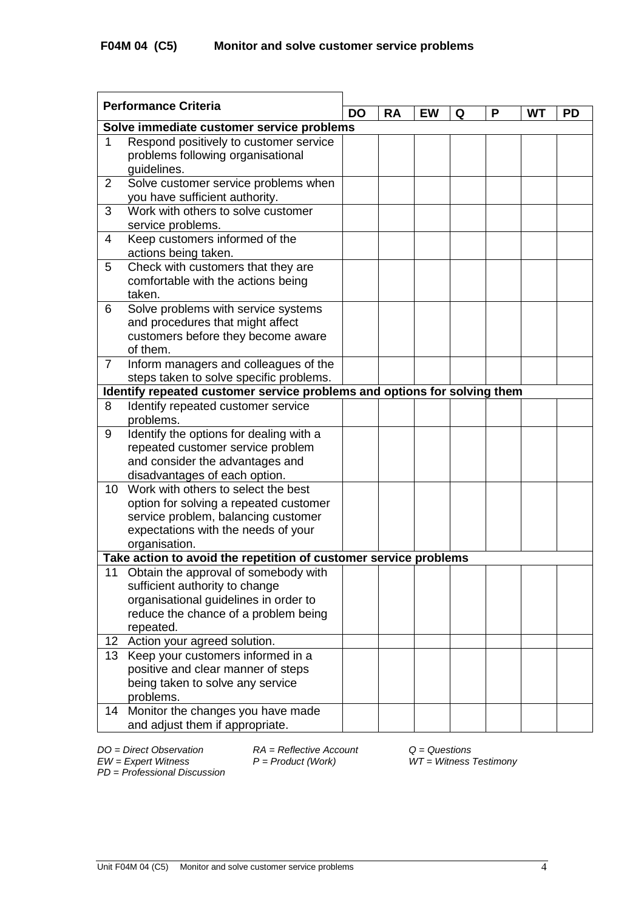| <b>Performance Criteria</b> |                                                                          | <b>DO</b> | <b>RA</b> | <b>EW</b> | Q | P | WТ | <b>PD</b> |
|-----------------------------|--------------------------------------------------------------------------|-----------|-----------|-----------|---|---|----|-----------|
|                             | Solve immediate customer service problems                                |           |           |           |   |   |    |           |
| $\mathbf 1$                 | Respond positively to customer service                                   |           |           |           |   |   |    |           |
|                             | problems following organisational                                        |           |           |           |   |   |    |           |
|                             | guidelines.                                                              |           |           |           |   |   |    |           |
| $\overline{2}$              | Solve customer service problems when                                     |           |           |           |   |   |    |           |
|                             | you have sufficient authority.                                           |           |           |           |   |   |    |           |
| 3                           | Work with others to solve customer                                       |           |           |           |   |   |    |           |
|                             | service problems.                                                        |           |           |           |   |   |    |           |
| $\overline{4}$              | Keep customers informed of the                                           |           |           |           |   |   |    |           |
|                             | actions being taken.                                                     |           |           |           |   |   |    |           |
| 5                           | Check with customers that they are                                       |           |           |           |   |   |    |           |
|                             | comfortable with the actions being                                       |           |           |           |   |   |    |           |
|                             | taken.                                                                   |           |           |           |   |   |    |           |
| 6                           | Solve problems with service systems                                      |           |           |           |   |   |    |           |
|                             | and procedures that might affect                                         |           |           |           |   |   |    |           |
|                             | customers before they become aware                                       |           |           |           |   |   |    |           |
|                             | of them.                                                                 |           |           |           |   |   |    |           |
| $\overline{7}$              | Inform managers and colleagues of the                                    |           |           |           |   |   |    |           |
|                             | steps taken to solve specific problems.                                  |           |           |           |   |   |    |           |
|                             | Identify repeated customer service problems and options for solving them |           |           |           |   |   |    |           |
| 8                           | Identify repeated customer service                                       |           |           |           |   |   |    |           |
| 9                           | problems.                                                                |           |           |           |   |   |    |           |
|                             | Identify the options for dealing with a                                  |           |           |           |   |   |    |           |
|                             | repeated customer service problem                                        |           |           |           |   |   |    |           |
|                             | and consider the advantages and                                          |           |           |           |   |   |    |           |
| 10                          | disadvantages of each option.<br>Work with others to select the best     |           |           |           |   |   |    |           |
|                             | option for solving a repeated customer                                   |           |           |           |   |   |    |           |
|                             | service problem, balancing customer                                      |           |           |           |   |   |    |           |
|                             | expectations with the needs of your                                      |           |           |           |   |   |    |           |
|                             | organisation.                                                            |           |           |           |   |   |    |           |
|                             | Take action to avoid the repetition of customer service problems         |           |           |           |   |   |    |           |
| 11                          | Obtain the approval of somebody with                                     |           |           |           |   |   |    |           |
|                             | sufficient authority to change                                           |           |           |           |   |   |    |           |
|                             | organisational guidelines in order to                                    |           |           |           |   |   |    |           |
|                             | reduce the chance of a problem being                                     |           |           |           |   |   |    |           |
|                             | repeated.                                                                |           |           |           |   |   |    |           |
|                             | 12 Action your agreed solution.                                          |           |           |           |   |   |    |           |
| 13                          | Keep your customers informed in a                                        |           |           |           |   |   |    |           |
|                             | positive and clear manner of steps                                       |           |           |           |   |   |    |           |
|                             | being taken to solve any service                                         |           |           |           |   |   |    |           |
|                             | problems.                                                                |           |           |           |   |   |    |           |
| 14                          | Monitor the changes you have made                                        |           |           |           |   |   |    |           |
|                             | and adjust them if appropriate.                                          |           |           |           |   |   |    |           |

*EW = Expert Witness P = Product (Work) WT = Witness Testimony PD* = *Professional Discussion*

*DO = Direct Observation RA = Reflective Account Q = Questions*